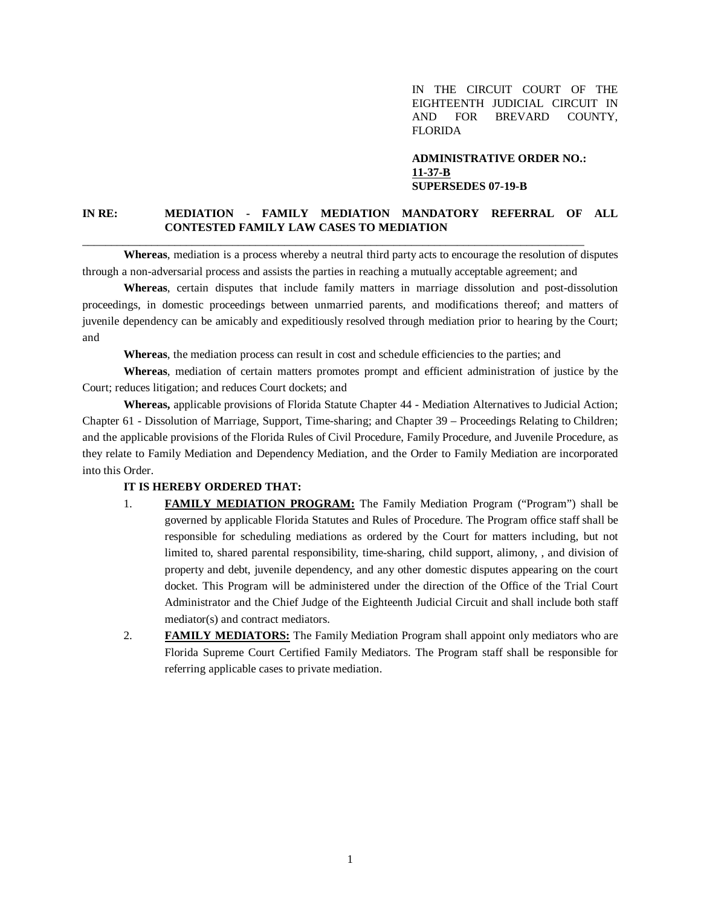IN THE CIRCUIT COURT OF THE EIGHTEENTH JUDICIAL CIRCUIT IN AND FOR BREVARD COUNTY, FLORIDA

**ADMINISTRATIVE ORDER NO.: 11-37-B SUPERSEDES 07-19-B**

#### **IN RE: MEDIATION - FAMILY MEDIATION MANDATORY REFERRAL OF ALL CONTESTED FAMILY LAW CASES TO MEDIATION**

 $\_$  ,  $\_$  ,  $\_$  ,  $\_$  ,  $\_$  ,  $\_$  ,  $\_$  ,  $\_$  ,  $\_$  ,  $\_$  ,  $\_$  ,  $\_$  ,  $\_$  ,  $\_$  ,  $\_$  ,  $\_$  ,  $\_$  ,  $\_$  ,  $\_$  ,  $\_$  ,  $\_$  ,  $\_$  ,  $\_$  ,  $\_$  ,  $\_$  ,  $\_$  ,  $\_$  ,  $\_$  ,  $\_$  ,  $\_$  ,  $\_$  ,  $\_$  ,  $\_$  ,  $\_$  ,  $\_$  ,  $\_$  ,  $\_$  ,

**Whereas**, mediation is a process whereby a neutral third party acts to encourage the resolution of disputes through a non-adversarial process and assists the parties in reaching a mutually acceptable agreement; and

**Whereas**, certain disputes that include family matters in marriage dissolution and post-dissolution proceedings, in domestic proceedings between unmarried parents, and modifications thereof; and matters of juvenile dependency can be amicably and expeditiously resolved through mediation prior to hearing by the Court; and

**Whereas**, the mediation process can result in cost and schedule efficiencies to the parties; and

**Whereas**, mediation of certain matters promotes prompt and efficient administration of justice by the Court; reduces litigation; and reduces Court dockets; and

**Whereas,** applicable provisions of Florida Statute Chapter 44 - Mediation Alternatives to Judicial Action; Chapter 61 - Dissolution of Marriage, Support, Time-sharing; and Chapter 39 – Proceedings Relating to Children; and the applicable provisions of the Florida Rules of Civil Procedure, Family Procedure, and Juvenile Procedure, as they relate to Family Mediation and Dependency Mediation, and the Order to Family Mediation are incorporated into this Order.

#### **IT IS HEREBY ORDERED THAT:**

- 1. **FAMILY MEDIATION PROGRAM:** The Family Mediation Program ("Program") shall be governed by applicable Florida Statutes and Rules of Procedure. The Program office staff shall be responsible for scheduling mediations as ordered by the Court for matters including, but not limited to, shared parental responsibility, time-sharing, child support, alimony, , and division of property and debt, juvenile dependency, and any other domestic disputes appearing on the court docket. This Program will be administered under the direction of the Office of the Trial Court Administrator and the Chief Judge of the Eighteenth Judicial Circuit and shall include both staff mediator(s) and contract mediators.
- 2. **FAMILY MEDIATORS:** The Family Mediation Program shall appoint only mediators who are Florida Supreme Court Certified Family Mediators. The Program staff shall be responsible for referring applicable cases to private mediation.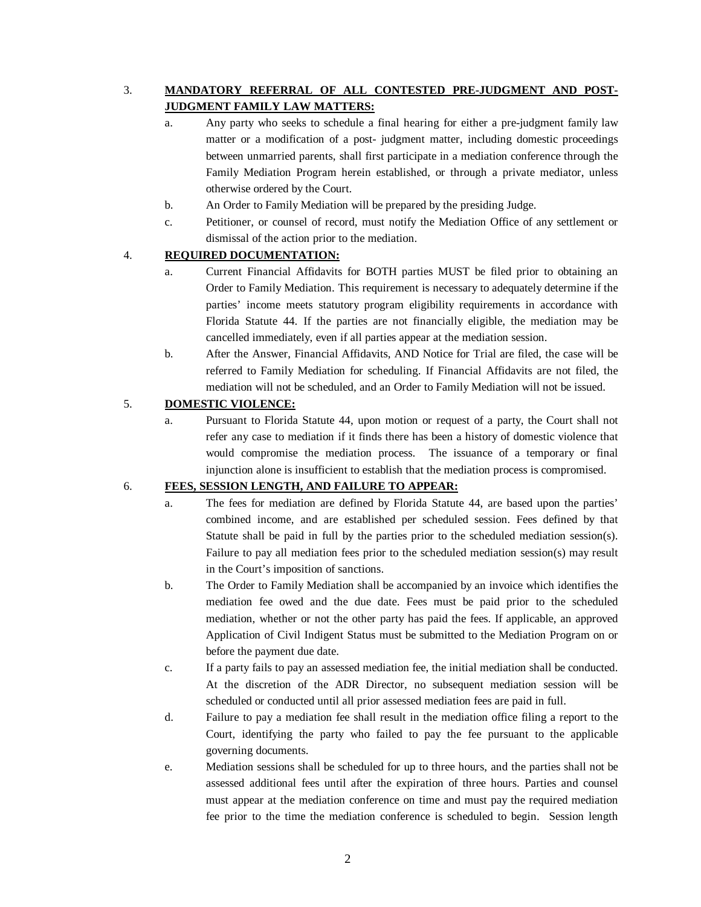# 3. **MANDATORY REFERRAL OF ALL CONTESTED PRE-JUDGMENT AND POST-JUDGMENT FAMILY LAW MATTERS:**

- a. Any party who seeks to schedule a final hearing for either a pre-judgment family law matter or a modification of a post- judgment matter, including domestic proceedings between unmarried parents, shall first participate in a mediation conference through the Family Mediation Program herein established, or through a private mediator, unless otherwise ordered by the Court.
- b. An Order to Family Mediation will be prepared by the presiding Judge.
- c. Petitioner, or counsel of record, must notify the Mediation Office of any settlement or dismissal of the action prior to the mediation.

## 4. **REQUIRED DOCUMENTATION:**

- a. Current Financial Affidavits for BOTH parties MUST be filed prior to obtaining an Order to Family Mediation. This requirement is necessary to adequately determine if the parties' income meets statutory program eligibility requirements in accordance with Florida Statute 44. If the parties are not financially eligible, the mediation may be cancelled immediately, even if all parties appear at the mediation session.
- b. After the Answer, Financial Affidavits, AND Notice for Trial are filed, the case will be referred to Family Mediation for scheduling. If Financial Affidavits are not filed, the mediation will not be scheduled, and an Order to Family Mediation will not be issued.

## 5. **DOMESTIC VIOLENCE:**

a. Pursuant to Florida Statute 44, upon motion or request of a party, the Court shall not refer any case to mediation if it finds there has been a history of domestic violence that would compromise the mediation process. The issuance of a temporary or final injunction alone is insufficient to establish that the mediation process is compromised.

## 6. **FEES, SESSION LENGTH, AND FAILURE TO APPEAR:**

- a. The fees for mediation are defined by Florida Statute 44, are based upon the parties' combined income, and are established per scheduled session. Fees defined by that Statute shall be paid in full by the parties prior to the scheduled mediation session(s). Failure to pay all mediation fees prior to the scheduled mediation session(s) may result in the Court's imposition of sanctions.
- b. The Order to Family Mediation shall be accompanied by an invoice which identifies the mediation fee owed and the due date. Fees must be paid prior to the scheduled mediation, whether or not the other party has paid the fees. If applicable, an approved Application of Civil Indigent Status must be submitted to the Mediation Program on or before the payment due date.
- c. If a party fails to pay an assessed mediation fee, the initial mediation shall be conducted. At the discretion of the ADR Director, no subsequent mediation session will be scheduled or conducted until all prior assessed mediation fees are paid in full.
- d. Failure to pay a mediation fee shall result in the mediation office filing a report to the Court, identifying the party who failed to pay the fee pursuant to the applicable governing documents.
- e. Mediation sessions shall be scheduled for up to three hours, and the parties shall not be assessed additional fees until after the expiration of three hours. Parties and counsel must appear at the mediation conference on time and must pay the required mediation fee prior to the time the mediation conference is scheduled to begin. Session length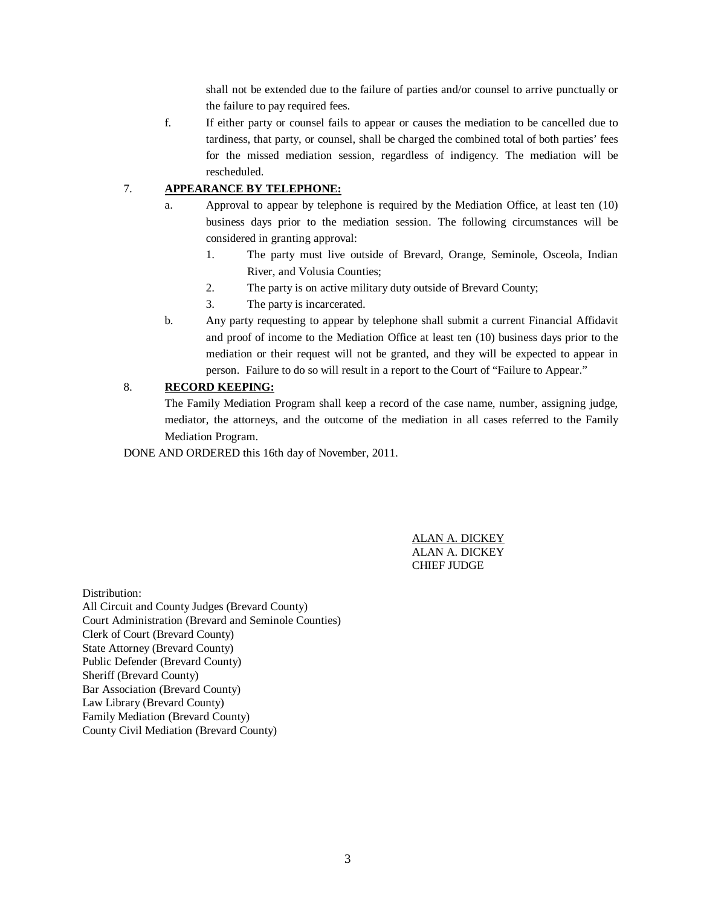shall not be extended due to the failure of parties and/or counsel to arrive punctually or the failure to pay required fees.

f. If either party or counsel fails to appear or causes the mediation to be cancelled due to tardiness, that party, or counsel, shall be charged the combined total of both parties' fees for the missed mediation session, regardless of indigency. The mediation will be rescheduled.

## 7. **APPEARANCE BY TELEPHONE:**

- a. Approval to appear by telephone is required by the Mediation Office, at least ten (10) business days prior to the mediation session. The following circumstances will be considered in granting approval:
	- 1. The party must live outside of Brevard, Orange, Seminole, Osceola, Indian River, and Volusia Counties;
	- 2. The party is on active military duty outside of Brevard County;
	- 3. The party is incarcerated.
- b. Any party requesting to appear by telephone shall submit a current Financial Affidavit and proof of income to the Mediation Office at least ten (10) business days prior to the mediation or their request will not be granted, and they will be expected to appear in person. Failure to do so will result in a report to the Court of "Failure to Appear."

## 8. **RECORD KEEPING:**

The Family Mediation Program shall keep a record of the case name, number, assigning judge, mediator, the attorneys, and the outcome of the mediation in all cases referred to the Family Mediation Program.

DONE AND ORDERED this 16th day of November, 2011.

ALAN A. DICKEY ALAN A. DICKEY CHIEF JUDGE

Distribution: All Circuit and County Judges (Brevard County) Court Administration (Brevard and Seminole Counties) Clerk of Court (Brevard County) State Attorney (Brevard County) Public Defender (Brevard County) Sheriff (Brevard County) Bar Association (Brevard County) Law Library (Brevard County) Family Mediation (Brevard County) County Civil Mediation (Brevard County)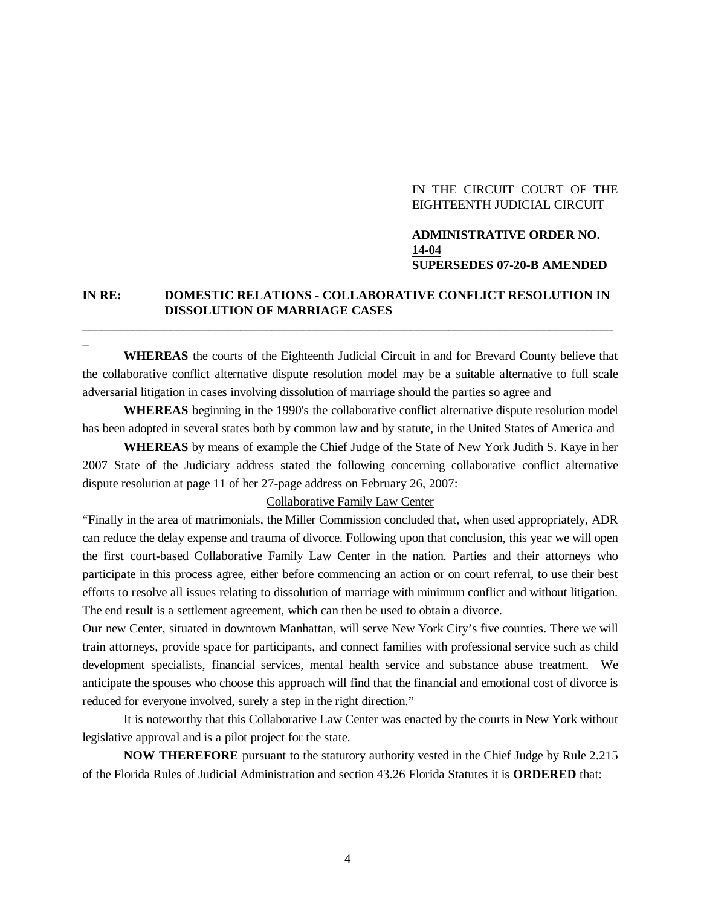## IN THE CIRCUIT COURT OF THE EIGHTEENTH JUDICIAL CIRCUIT

# **ADMINISTRATIVE ORDER NO. 14-04 SUPERSEDES 07-20-B AMENDED**

# **IN RE: DOMESTIC RELATIONS - COLLABORATIVE CONFLICT RESOLUTION IN DISSOLUTION OF MARRIAGE CASES** \_\_\_\_\_\_\_\_\_\_\_\_\_\_\_\_\_\_\_\_\_\_\_\_\_\_\_\_\_\_\_\_\_\_\_\_\_\_\_\_\_\_\_\_\_\_\_\_\_\_\_\_\_\_\_\_\_\_\_\_\_\_\_\_\_\_\_\_\_\_\_\_\_\_\_\_\_\_\_\_\_\_\_\_

\_

**WHEREAS** the courts of the Eighteenth Judicial Circuit in and for Brevard County believe that the collaborative conflict alternative dispute resolution model may be a suitable alternative to full scale adversarial litigation in cases involving dissolution of marriage should the parties so agree and

**WHEREAS** beginning in the 1990's the collaborative conflict alternative dispute resolution model has been adopted in several states both by common law and by statute, in the United States of America and

**WHEREAS** by means of example the Chief Judge of the State of New York Judith S. Kaye in her 2007 State of the Judiciary address stated the following concerning collaborative conflict alternative dispute resolution at page 11 of her 27-page address on February 26, 2007:

#### Collaborative Family Law Center

"Finally in the area of matrimonials, the Miller Commission concluded that, when used appropriately, ADR can reduce the delay expense and trauma of divorce. Following upon that conclusion, this year we will open the first court-based Collaborative Family Law Center in the nation. Parties and their attorneys who participate in this process agree, either before commencing an action or on court referral, to use their best efforts to resolve all issues relating to dissolution of marriage with minimum conflict and without litigation. The end result is a settlement agreement, which can then be used to obtain a divorce.

Our new Center, situated in downtown Manhattan, will serve New York City's five counties. There we will train attorneys, provide space for participants, and connect families with professional service such as child development specialists, financial services, mental health service and substance abuse treatment. We anticipate the spouses who choose this approach will find that the financial and emotional cost of divorce is reduced for everyone involved, surely a step in the right direction."

It is noteworthy that this Collaborative Law Center was enacted by the courts in New York without legislative approval and is a pilot project for the state.

**NOW THEREFORE** pursuant to the statutory authority vested in the Chief Judge by Rule 2.215 of the Florida Rules of Judicial Administration and section 43.26 Florida Statutes it is **ORDERED** that: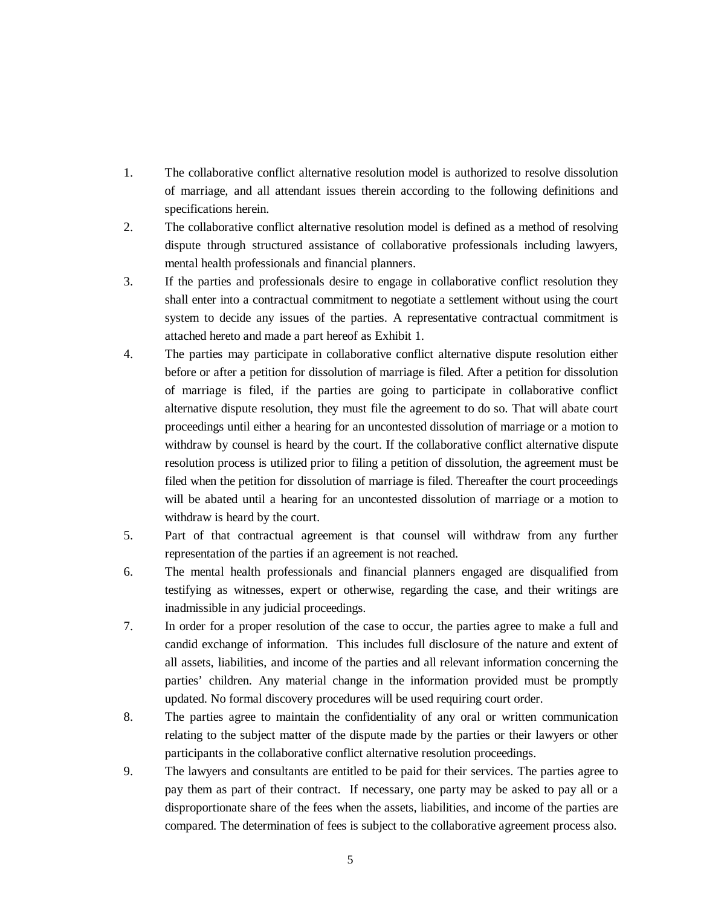- 1. The collaborative conflict alternative resolution model is authorized to resolve dissolution of marriage, and all attendant issues therein according to the following definitions and specifications herein.
- 2. The collaborative conflict alternative resolution model is defined as a method of resolving dispute through structured assistance of collaborative professionals including lawyers, mental health professionals and financial planners.
- 3. If the parties and professionals desire to engage in collaborative conflict resolution they shall enter into a contractual commitment to negotiate a settlement without using the court system to decide any issues of the parties. A representative contractual commitment is attached hereto and made a part hereof as Exhibit 1.
- 4. The parties may participate in collaborative conflict alternative dispute resolution either before or after a petition for dissolution of marriage is filed. After a petition for dissolution of marriage is filed, if the parties are going to participate in collaborative conflict alternative dispute resolution, they must file the agreement to do so. That will abate court proceedings until either a hearing for an uncontested dissolution of marriage or a motion to withdraw by counsel is heard by the court. If the collaborative conflict alternative dispute resolution process is utilized prior to filing a petition of dissolution, the agreement must be filed when the petition for dissolution of marriage is filed. Thereafter the court proceedings will be abated until a hearing for an uncontested dissolution of marriage or a motion to withdraw is heard by the court.
- 5. Part of that contractual agreement is that counsel will withdraw from any further representation of the parties if an agreement is not reached.
- 6. The mental health professionals and financial planners engaged are disqualified from testifying as witnesses, expert or otherwise, regarding the case, and their writings are inadmissible in any judicial proceedings.
- 7. In order for a proper resolution of the case to occur, the parties agree to make a full and candid exchange of information. This includes full disclosure of the nature and extent of all assets, liabilities, and income of the parties and all relevant information concerning the parties' children. Any material change in the information provided must be promptly updated. No formal discovery procedures will be used requiring court order.
- 8. The parties agree to maintain the confidentiality of any oral or written communication relating to the subject matter of the dispute made by the parties or their lawyers or other participants in the collaborative conflict alternative resolution proceedings.
- 9. The lawyers and consultants are entitled to be paid for their services. The parties agree to pay them as part of their contract. If necessary, one party may be asked to pay all or a disproportionate share of the fees when the assets, liabilities, and income of the parties are compared. The determination of fees is subject to the collaborative agreement process also.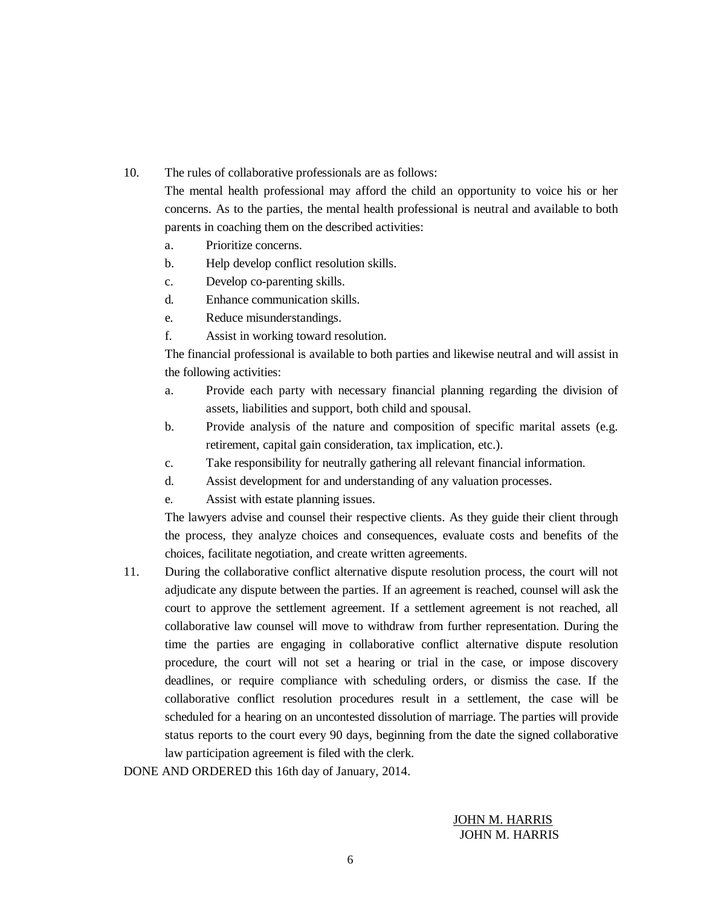10. The rules of collaborative professionals are as follows:

The mental health professional may afford the child an opportunity to voice his or her concerns. As to the parties, the mental health professional is neutral and available to both parents in coaching them on the described activities:

- a. Prioritize concerns.
- b. Help develop conflict resolution skills.
- c. Develop co-parenting skills.
- d. Enhance communication skills.
- e. Reduce misunderstandings.
- f. Assist in working toward resolution.

The financial professional is available to both parties and likewise neutral and will assist in the following activities:

- a. Provide each party with necessary financial planning regarding the division of assets, liabilities and support, both child and spousal.
- b. Provide analysis of the nature and composition of specific marital assets (e.g. retirement, capital gain consideration, tax implication, etc.).
- c. Take responsibility for neutrally gathering all relevant financial information.
- d. Assist development for and understanding of any valuation processes.
- e. Assist with estate planning issues.

The lawyers advise and counsel their respective clients. As they guide their client through the process, they analyze choices and consequences, evaluate costs and benefits of the choices, facilitate negotiation, and create written agreements.

11. During the collaborative conflict alternative dispute resolution process, the court will not adjudicate any dispute between the parties. If an agreement is reached, counsel will ask the court to approve the settlement agreement. If a settlement agreement is not reached, all collaborative law counsel will move to withdraw from further representation. During the time the parties are engaging in collaborative conflict alternative dispute resolution procedure, the court will not set a hearing or trial in the case, or impose discovery deadlines, or require compliance with scheduling orders, or dismiss the case. If the collaborative conflict resolution procedures result in a settlement, the case will be scheduled for a hearing on an uncontested dissolution of marriage. The parties will provide status reports to the court every 90 days, beginning from the date the signed collaborative law participation agreement is filed with the clerk.

DONE AND ORDERED this 16th day of January, 2014.

## JOHN M. HARRIS JOHN M. HARRIS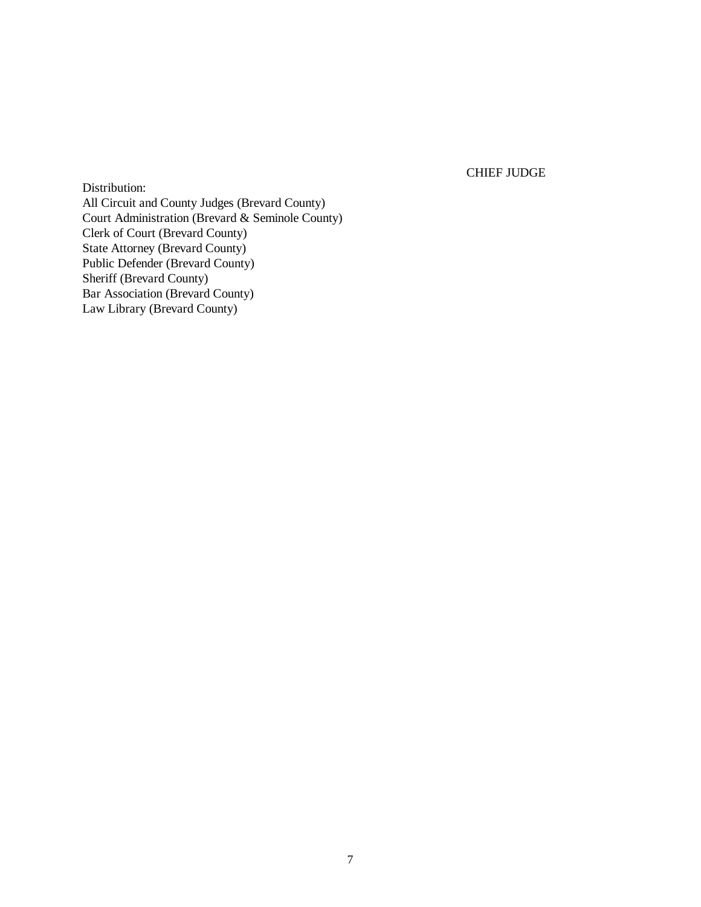CHIEF JUDGE

Distribution: All Circuit and County Judges (Brevard County) Court Administration (Brevard & Seminole County) Clerk of Court (Brevard County) State Attorney (Brevard County) Public Defender (Brevard County) Sheriff (Brevard County) Bar Association (Brevard County) Law Library (Brevard County)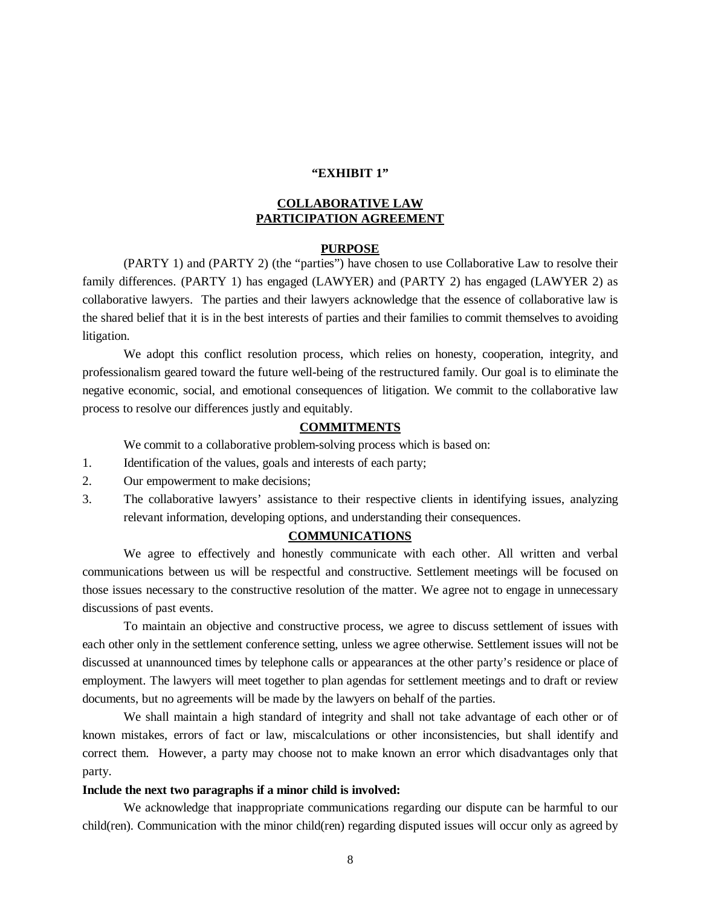#### **"EXHIBIT 1"**

#### **COLLABORATIVE LAW PARTICIPATION AGREEMENT**

#### **PURPOSE**

(PARTY 1) and (PARTY 2) (the "parties") have chosen to use Collaborative Law to resolve their family differences. (PARTY 1) has engaged (LAWYER) and (PARTY 2) has engaged (LAWYER 2) as collaborative lawyers. The parties and their lawyers acknowledge that the essence of collaborative law is the shared belief that it is in the best interests of parties and their families to commit themselves to avoiding litigation.

We adopt this conflict resolution process, which relies on honesty, cooperation, integrity, and professionalism geared toward the future well-being of the restructured family. Our goal is to eliminate the negative economic, social, and emotional consequences of litigation. We commit to the collaborative law process to resolve our differences justly and equitably.

#### **COMMITMENTS**

We commit to a collaborative problem-solving process which is based on:

- 1. Identification of the values, goals and interests of each party;
- 2. Our empowerment to make decisions;
- 3. The collaborative lawyers' assistance to their respective clients in identifying issues, analyzing relevant information, developing options, and understanding their consequences.

#### **COMMUNICATIONS**

We agree to effectively and honestly communicate with each other. All written and verbal communications between us will be respectful and constructive. Settlement meetings will be focused on those issues necessary to the constructive resolution of the matter. We agree not to engage in unnecessary discussions of past events.

To maintain an objective and constructive process, we agree to discuss settlement of issues with each other only in the settlement conference setting, unless we agree otherwise. Settlement issues will not be discussed at unannounced times by telephone calls or appearances at the other party's residence or place of employment. The lawyers will meet together to plan agendas for settlement meetings and to draft or review documents, but no agreements will be made by the lawyers on behalf of the parties.

We shall maintain a high standard of integrity and shall not take advantage of each other or of known mistakes, errors of fact or law, miscalculations or other inconsistencies, but shall identify and correct them. However, a party may choose not to make known an error which disadvantages only that party.

#### **Include the next two paragraphs if a minor child is involved:**

We acknowledge that inappropriate communications regarding our dispute can be harmful to our child(ren). Communication with the minor child(ren) regarding disputed issues will occur only as agreed by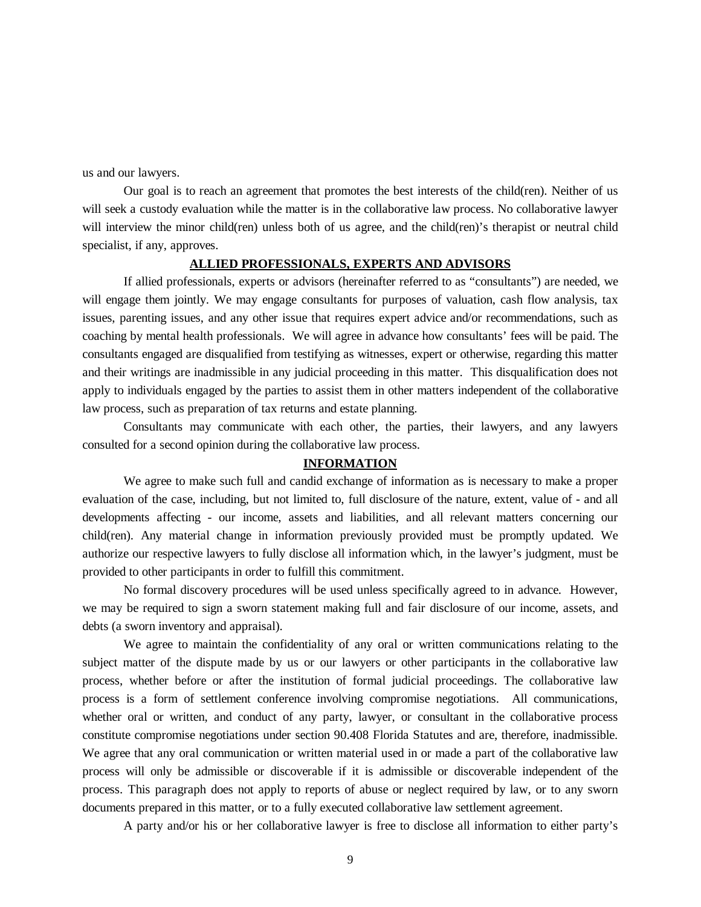us and our lawyers.

Our goal is to reach an agreement that promotes the best interests of the child(ren). Neither of us will seek a custody evaluation while the matter is in the collaborative law process. No collaborative lawyer will interview the minor child(ren) unless both of us agree, and the child(ren)'s therapist or neutral child specialist, if any, approves.

## **ALLIED PROFESSIONALS, EXPERTS AND ADVISORS**

If allied professionals, experts or advisors (hereinafter referred to as "consultants") are needed, we will engage them jointly. We may engage consultants for purposes of valuation, cash flow analysis, tax issues, parenting issues, and any other issue that requires expert advice and/or recommendations, such as coaching by mental health professionals. We will agree in advance how consultants' fees will be paid. The consultants engaged are disqualified from testifying as witnesses, expert or otherwise, regarding this matter and their writings are inadmissible in any judicial proceeding in this matter. This disqualification does not apply to individuals engaged by the parties to assist them in other matters independent of the collaborative law process, such as preparation of tax returns and estate planning.

Consultants may communicate with each other, the parties, their lawyers, and any lawyers consulted for a second opinion during the collaborative law process.

#### **INFORMATION**

We agree to make such full and candid exchange of information as is necessary to make a proper evaluation of the case, including, but not limited to, full disclosure of the nature, extent, value of - and all developments affecting - our income, assets and liabilities, and all relevant matters concerning our child(ren). Any material change in information previously provided must be promptly updated. We authorize our respective lawyers to fully disclose all information which, in the lawyer's judgment, must be provided to other participants in order to fulfill this commitment.

No formal discovery procedures will be used unless specifically agreed to in advance. However, we may be required to sign a sworn statement making full and fair disclosure of our income, assets, and debts (a sworn inventory and appraisal).

We agree to maintain the confidentiality of any oral or written communications relating to the subject matter of the dispute made by us or our lawyers or other participants in the collaborative law process, whether before or after the institution of formal judicial proceedings. The collaborative law process is a form of settlement conference involving compromise negotiations. All communications, whether oral or written, and conduct of any party, lawyer, or consultant in the collaborative process constitute compromise negotiations under section 90.408 Florida Statutes and are, therefore, inadmissible. We agree that any oral communication or written material used in or made a part of the collaborative law process will only be admissible or discoverable if it is admissible or discoverable independent of the process. This paragraph does not apply to reports of abuse or neglect required by law, or to any sworn documents prepared in this matter, or to a fully executed collaborative law settlement agreement.

A party and/or his or her collaborative lawyer is free to disclose all information to either party's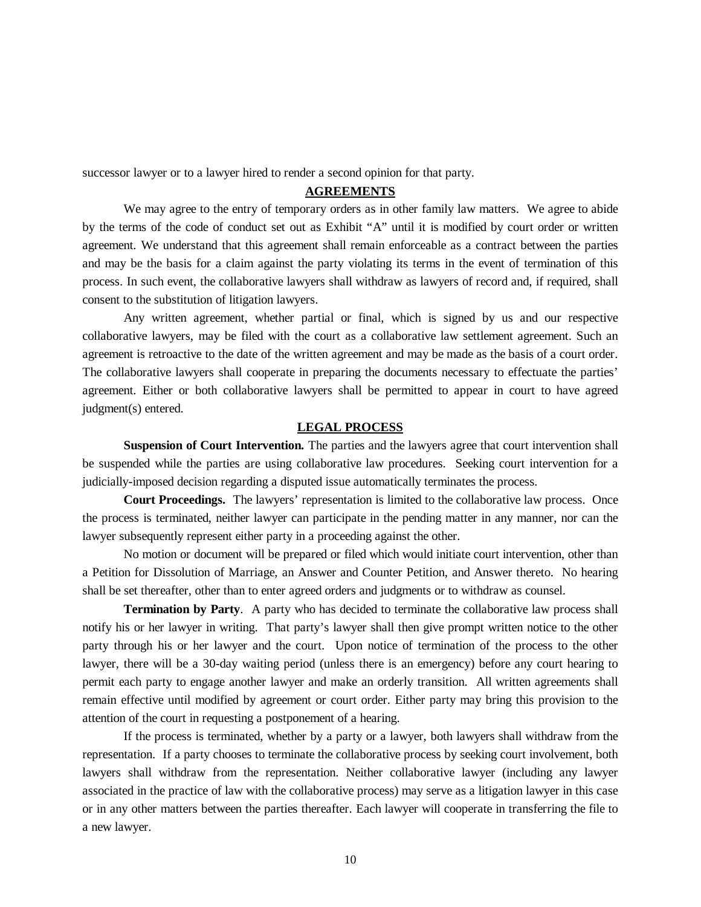successor lawyer or to a lawyer hired to render a second opinion for that party.

### **AGREEMENTS**

We may agree to the entry of temporary orders as in other family law matters. We agree to abide by the terms of the code of conduct set out as Exhibit "A" until it is modified by court order or written agreement. We understand that this agreement shall remain enforceable as a contract between the parties and may be the basis for a claim against the party violating its terms in the event of termination of this process. In such event, the collaborative lawyers shall withdraw as lawyers of record and, if required, shall consent to the substitution of litigation lawyers.

Any written agreement, whether partial or final, which is signed by us and our respective collaborative lawyers, may be filed with the court as a collaborative law settlement agreement. Such an agreement is retroactive to the date of the written agreement and may be made as the basis of a court order. The collaborative lawyers shall cooperate in preparing the documents necessary to effectuate the parties' agreement. Either or both collaborative lawyers shall be permitted to appear in court to have agreed judgment(s) entered.

#### **LEGAL PROCESS**

**Suspension of Court Intervention.** The parties and the lawyers agree that court intervention shall be suspended while the parties are using collaborative law procedures. Seeking court intervention for a judicially-imposed decision regarding a disputed issue automatically terminates the process.

**Court Proceedings.** The lawyers' representation is limited to the collaborative law process. Once the process is terminated, neither lawyer can participate in the pending matter in any manner, nor can the lawyer subsequently represent either party in a proceeding against the other.

No motion or document will be prepared or filed which would initiate court intervention, other than a Petition for Dissolution of Marriage, an Answer and Counter Petition, and Answer thereto. No hearing shall be set thereafter, other than to enter agreed orders and judgments or to withdraw as counsel.

**Termination by Party**. A party who has decided to terminate the collaborative law process shall notify his or her lawyer in writing. That party's lawyer shall then give prompt written notice to the other party through his or her lawyer and the court. Upon notice of termination of the process to the other lawyer, there will be a 30-day waiting period (unless there is an emergency) before any court hearing to permit each party to engage another lawyer and make an orderly transition. All written agreements shall remain effective until modified by agreement or court order. Either party may bring this provision to the attention of the court in requesting a postponement of a hearing.

If the process is terminated, whether by a party or a lawyer, both lawyers shall withdraw from the representation. If a party chooses to terminate the collaborative process by seeking court involvement, both lawyers shall withdraw from the representation. Neither collaborative lawyer (including any lawyer associated in the practice of law with the collaborative process) may serve as a litigation lawyer in this case or in any other matters between the parties thereafter. Each lawyer will cooperate in transferring the file to a new lawyer.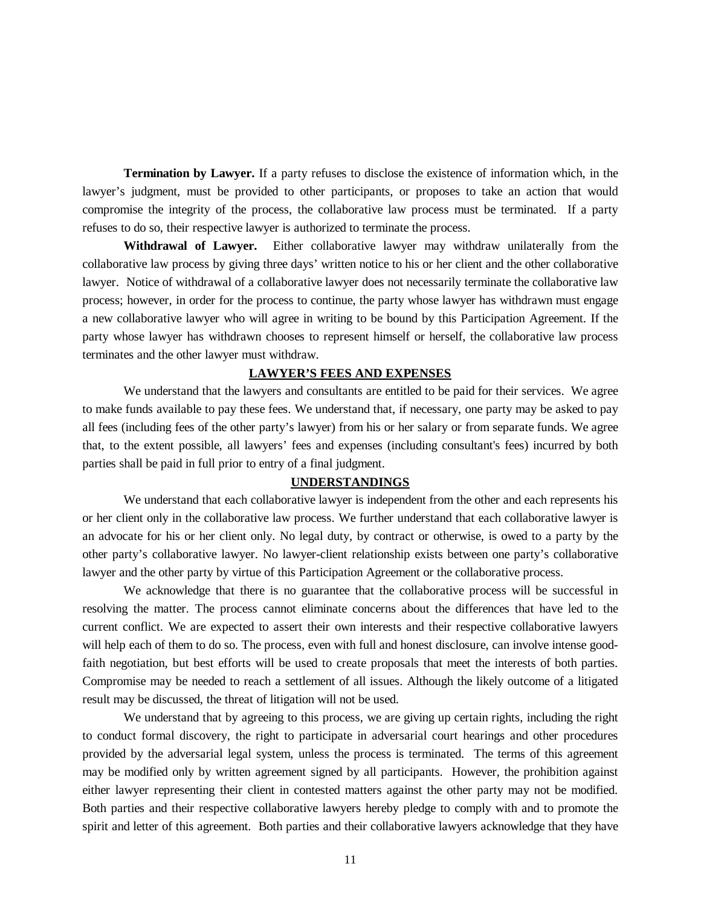**Termination by Lawyer.** If a party refuses to disclose the existence of information which, in the lawyer's judgment, must be provided to other participants, or proposes to take an action that would compromise the integrity of the process, the collaborative law process must be terminated. If a party refuses to do so, their respective lawyer is authorized to terminate the process.

**Withdrawal of Lawyer.** Either collaborative lawyer may withdraw unilaterally from the collaborative law process by giving three days' written notice to his or her client and the other collaborative lawyer. Notice of withdrawal of a collaborative lawyer does not necessarily terminate the collaborative law process; however, in order for the process to continue, the party whose lawyer has withdrawn must engage a new collaborative lawyer who will agree in writing to be bound by this Participation Agreement. If the party whose lawyer has withdrawn chooses to represent himself or herself, the collaborative law process terminates and the other lawyer must withdraw.

#### **LAWYER'S FEES AND EXPENSES**

We understand that the lawyers and consultants are entitled to be paid for their services. We agree to make funds available to pay these fees. We understand that, if necessary, one party may be asked to pay all fees (including fees of the other party's lawyer) from his or her salary or from separate funds. We agree that, to the extent possible, all lawyers' fees and expenses (including consultant's fees) incurred by both parties shall be paid in full prior to entry of a final judgment.

#### **UNDERSTANDINGS**

We understand that each collaborative lawyer is independent from the other and each represents his or her client only in the collaborative law process. We further understand that each collaborative lawyer is an advocate for his or her client only. No legal duty, by contract or otherwise, is owed to a party by the other party's collaborative lawyer. No lawyer-client relationship exists between one party's collaborative lawyer and the other party by virtue of this Participation Agreement or the collaborative process.

We acknowledge that there is no guarantee that the collaborative process will be successful in resolving the matter. The process cannot eliminate concerns about the differences that have led to the current conflict. We are expected to assert their own interests and their respective collaborative lawyers will help each of them to do so. The process, even with full and honest disclosure, can involve intense goodfaith negotiation, but best efforts will be used to create proposals that meet the interests of both parties. Compromise may be needed to reach a settlement of all issues. Although the likely outcome of a litigated result may be discussed, the threat of litigation will not be used.

We understand that by agreeing to this process, we are giving up certain rights, including the right to conduct formal discovery, the right to participate in adversarial court hearings and other procedures provided by the adversarial legal system, unless the process is terminated. The terms of this agreement may be modified only by written agreement signed by all participants. However, the prohibition against either lawyer representing their client in contested matters against the other party may not be modified. Both parties and their respective collaborative lawyers hereby pledge to comply with and to promote the spirit and letter of this agreement. Both parties and their collaborative lawyers acknowledge that they have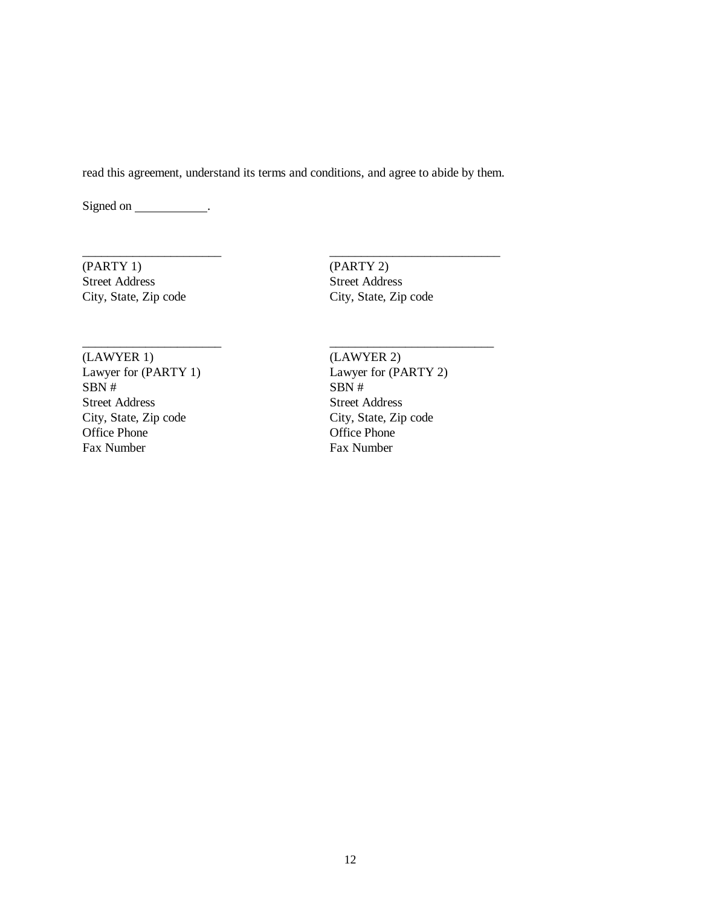read this agreement, understand its terms and conditions, and agree to abide by them.

\_\_\_\_\_\_\_\_\_\_\_\_\_\_\_\_\_\_\_\_\_\_ \_\_\_\_\_\_\_\_\_\_\_\_\_\_\_\_\_\_\_\_\_\_\_\_\_\_\_

\_\_\_\_\_\_\_\_\_\_\_\_\_\_\_\_\_\_\_\_\_\_ \_\_\_\_\_\_\_\_\_\_\_\_\_\_\_\_\_\_\_\_\_\_\_\_\_\_

Signed on  $\qquad \qquad$ .

 $(PARTY 1)$  (PARTY 2) City, State, Zip code

(LAWYER 1) (LAWYER 2)<br>
Lawyer for (PARTY 1) Lawyer for (PARTY 2) Lawyer for (PARTY 1)  $SBN #$   $SBN #$ Street Address<br>
City, State, Zip code<br>
City, State, Zip code<br>
City, State, Zip code City, State, Zip code Office Phone<br>
Fax Number<br>
Fax Number<br>
Fax Number Fax Number

Street Address<br>
City, State, Zip code<br>
City, State, Zip code<br>
City, State, Zip code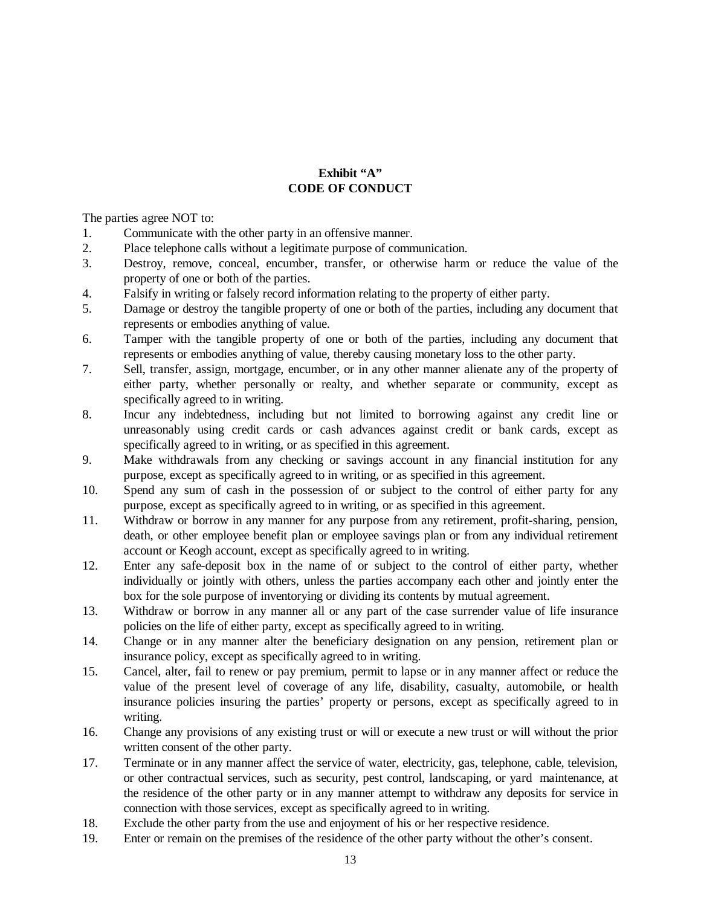# **Exhibit "A" CODE OF CONDUCT**

The parties agree NOT to:

- 1. Communicate with the other party in an offensive manner.
- 2. Place telephone calls without a legitimate purpose of communication.
- 3. Destroy, remove, conceal, encumber, transfer, or otherwise harm or reduce the value of the property of one or both of the parties.
- 4. Falsify in writing or falsely record information relating to the property of either party.
- 5. Damage or destroy the tangible property of one or both of the parties, including any document that represents or embodies anything of value.
- 6. Tamper with the tangible property of one or both of the parties, including any document that represents or embodies anything of value, thereby causing monetary loss to the other party.
- 7. Sell, transfer, assign, mortgage, encumber, or in any other manner alienate any of the property of either party, whether personally or realty, and whether separate or community, except as specifically agreed to in writing.
- 8. Incur any indebtedness, including but not limited to borrowing against any credit line or unreasonably using credit cards or cash advances against credit or bank cards, except as specifically agreed to in writing, or as specified in this agreement.
- 9. Make withdrawals from any checking or savings account in any financial institution for any purpose, except as specifically agreed to in writing, or as specified in this agreement.
- 10. Spend any sum of cash in the possession of or subject to the control of either party for any purpose, except as specifically agreed to in writing, or as specified in this agreement.
- 11. Withdraw or borrow in any manner for any purpose from any retirement, profit-sharing, pension, death, or other employee benefit plan or employee savings plan or from any individual retirement account or Keogh account, except as specifically agreed to in writing.
- 12. Enter any safe-deposit box in the name of or subject to the control of either party, whether individually or jointly with others, unless the parties accompany each other and jointly enter the box for the sole purpose of inventorying or dividing its contents by mutual agreement.
- 13. Withdraw or borrow in any manner all or any part of the case surrender value of life insurance policies on the life of either party, except as specifically agreed to in writing.
- 14. Change or in any manner alter the beneficiary designation on any pension, retirement plan or insurance policy, except as specifically agreed to in writing.
- 15. Cancel, alter, fail to renew or pay premium, permit to lapse or in any manner affect or reduce the value of the present level of coverage of any life, disability, casualty, automobile, or health insurance policies insuring the parties' property or persons, except as specifically agreed to in writing.
- 16. Change any provisions of any existing trust or will or execute a new trust or will without the prior written consent of the other party.
- 17. Terminate or in any manner affect the service of water, electricity, gas, telephone, cable, television, or other contractual services, such as security, pest control, landscaping, or yard maintenance, at the residence of the other party or in any manner attempt to withdraw any deposits for service in connection with those services, except as specifically agreed to in writing.
- 18. Exclude the other party from the use and enjoyment of his or her respective residence.
- 19. Enter or remain on the premises of the residence of the other party without the other's consent.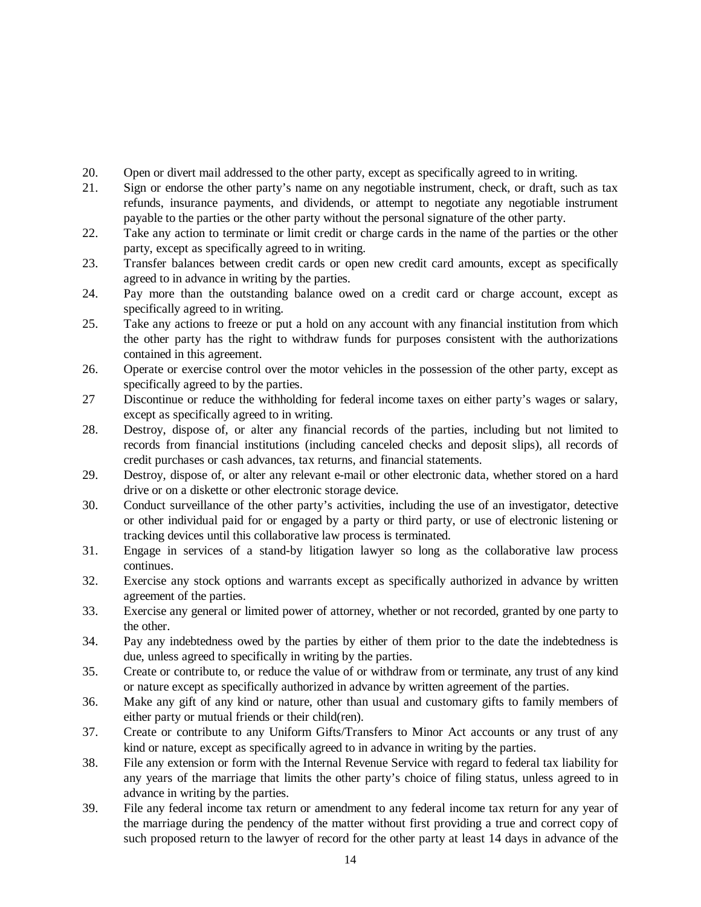- 20. Open or divert mail addressed to the other party, except as specifically agreed to in writing.
- 21. Sign or endorse the other party's name on any negotiable instrument, check, or draft, such as tax refunds, insurance payments, and dividends, or attempt to negotiate any negotiable instrument payable to the parties or the other party without the personal signature of the other party.
- 22. Take any action to terminate or limit credit or charge cards in the name of the parties or the other party, except as specifically agreed to in writing.
- 23. Transfer balances between credit cards or open new credit card amounts, except as specifically agreed to in advance in writing by the parties.
- 24. Pay more than the outstanding balance owed on a credit card or charge account, except as specifically agreed to in writing.
- 25. Take any actions to freeze or put a hold on any account with any financial institution from which the other party has the right to withdraw funds for purposes consistent with the authorizations contained in this agreement.
- 26. Operate or exercise control over the motor vehicles in the possession of the other party, except as specifically agreed to by the parties.
- 27 Discontinue or reduce the withholding for federal income taxes on either party's wages or salary, except as specifically agreed to in writing.
- 28. Destroy, dispose of, or alter any financial records of the parties, including but not limited to records from financial institutions (including canceled checks and deposit slips), all records of credit purchases or cash advances, tax returns, and financial statements.
- 29. Destroy, dispose of, or alter any relevant e-mail or other electronic data, whether stored on a hard drive or on a diskette or other electronic storage device.
- 30. Conduct surveillance of the other party's activities, including the use of an investigator, detective or other individual paid for or engaged by a party or third party, or use of electronic listening or tracking devices until this collaborative law process is terminated.
- 31. Engage in services of a stand-by litigation lawyer so long as the collaborative law process continues.
- 32. Exercise any stock options and warrants except as specifically authorized in advance by written agreement of the parties.
- 33. Exercise any general or limited power of attorney, whether or not recorded, granted by one party to the other.
- 34. Pay any indebtedness owed by the parties by either of them prior to the date the indebtedness is due, unless agreed to specifically in writing by the parties.
- 35. Create or contribute to, or reduce the value of or withdraw from or terminate, any trust of any kind or nature except as specifically authorized in advance by written agreement of the parties.
- 36. Make any gift of any kind or nature, other than usual and customary gifts to family members of either party or mutual friends or their child(ren).
- 37. Create or contribute to any Uniform Gifts/Transfers to Minor Act accounts or any trust of any kind or nature, except as specifically agreed to in advance in writing by the parties.
- 38. File any extension or form with the Internal Revenue Service with regard to federal tax liability for any years of the marriage that limits the other party's choice of filing status, unless agreed to in advance in writing by the parties.
- 39. File any federal income tax return or amendment to any federal income tax return for any year of the marriage during the pendency of the matter without first providing a true and correct copy of such proposed return to the lawyer of record for the other party at least 14 days in advance of the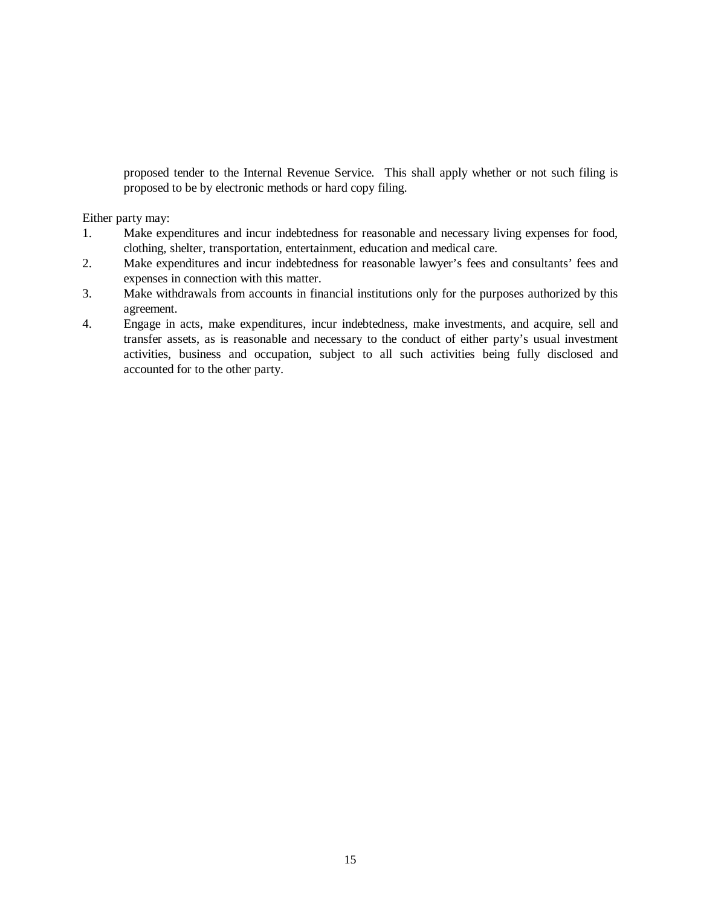proposed tender to the Internal Revenue Service. This shall apply whether or not such filing is proposed to be by electronic methods or hard copy filing.

Either party may:

- 1. Make expenditures and incur indebtedness for reasonable and necessary living expenses for food, clothing, shelter, transportation, entertainment, education and medical care.
- 2. Make expenditures and incur indebtedness for reasonable lawyer's fees and consultants' fees and expenses in connection with this matter.
- 3. Make withdrawals from accounts in financial institutions only for the purposes authorized by this agreement.
- 4. Engage in acts, make expenditures, incur indebtedness, make investments, and acquire, sell and transfer assets, as is reasonable and necessary to the conduct of either party's usual investment activities, business and occupation, subject to all such activities being fully disclosed and accounted for to the other party.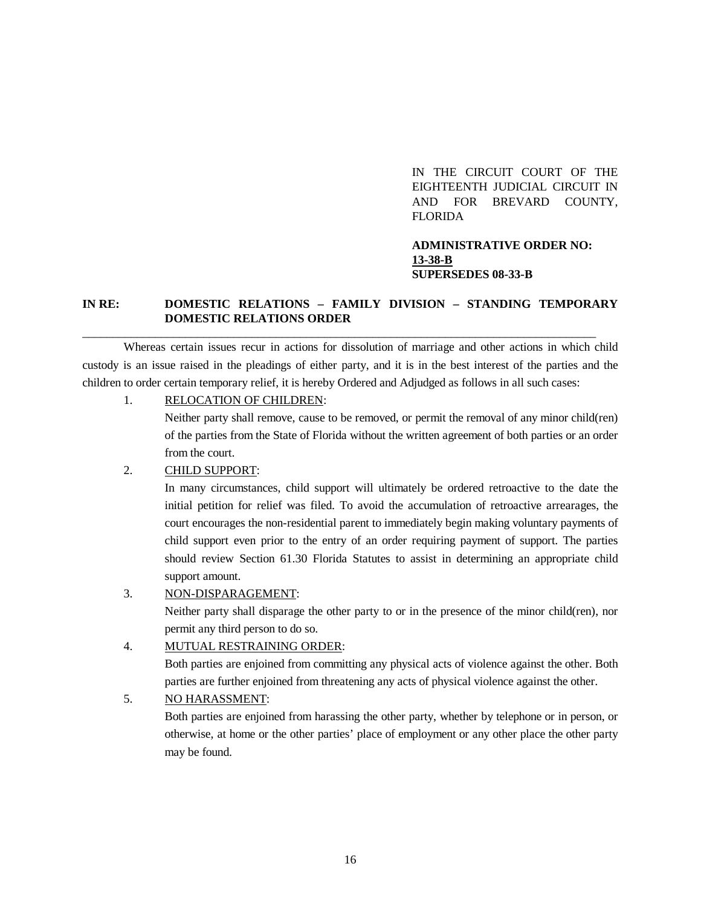IN THE CIRCUIT COURT OF THE EIGHTEENTH JUDICIAL CIRCUIT IN AND FOR BREVARD COUNTY, FLORIDA

### **ADMINISTRATIVE ORDER NO: 13-38-B SUPERSEDES 08-33-B**

## **IN RE: DOMESTIC RELATIONS – FAMILY DIVISION – STANDING TEMPORARY DOMESTIC RELATIONS ORDER**

 $\_$  ,  $\_$  ,  $\_$  ,  $\_$  ,  $\_$  ,  $\_$  ,  $\_$  ,  $\_$  ,  $\_$  ,  $\_$  ,  $\_$  ,  $\_$  ,  $\_$  ,  $\_$  ,  $\_$  ,  $\_$  ,  $\_$  ,  $\_$  ,  $\_$  ,  $\_$  ,  $\_$  ,  $\_$  ,  $\_$  ,  $\_$  ,  $\_$  ,  $\_$  ,  $\_$  ,  $\_$  ,  $\_$  ,  $\_$  ,  $\_$  ,  $\_$  ,  $\_$  ,  $\_$  ,  $\_$  ,  $\_$  ,  $\_$  ,

Whereas certain issues recur in actions for dissolution of marriage and other actions in which child custody is an issue raised in the pleadings of either party, and it is in the best interest of the parties and the children to order certain temporary relief, it is hereby Ordered and Adjudged as follows in all such cases:

1. RELOCATION OF CHILDREN:

Neither party shall remove, cause to be removed, or permit the removal of any minor child(ren) of the parties from the State of Florida without the written agreement of both parties or an order from the court.

## 2. CHILD SUPPORT:

In many circumstances, child support will ultimately be ordered retroactive to the date the initial petition for relief was filed. To avoid the accumulation of retroactive arrearages, the court encourages the non-residential parent to immediately begin making voluntary payments of child support even prior to the entry of an order requiring payment of support. The parties should review Section 61.30 Florida Statutes to assist in determining an appropriate child support amount.

#### 3. NON-DISPARAGEMENT:

Neither party shall disparage the other party to or in the presence of the minor child(ren), nor permit any third person to do so.

## 4. MUTUAL RESTRAINING ORDER:

Both parties are enjoined from committing any physical acts of violence against the other. Both parties are further enjoined from threatening any acts of physical violence against the other.

## 5. NO HARASSMENT:

Both parties are enjoined from harassing the other party, whether by telephone or in person, or otherwise, at home or the other parties' place of employment or any other place the other party may be found.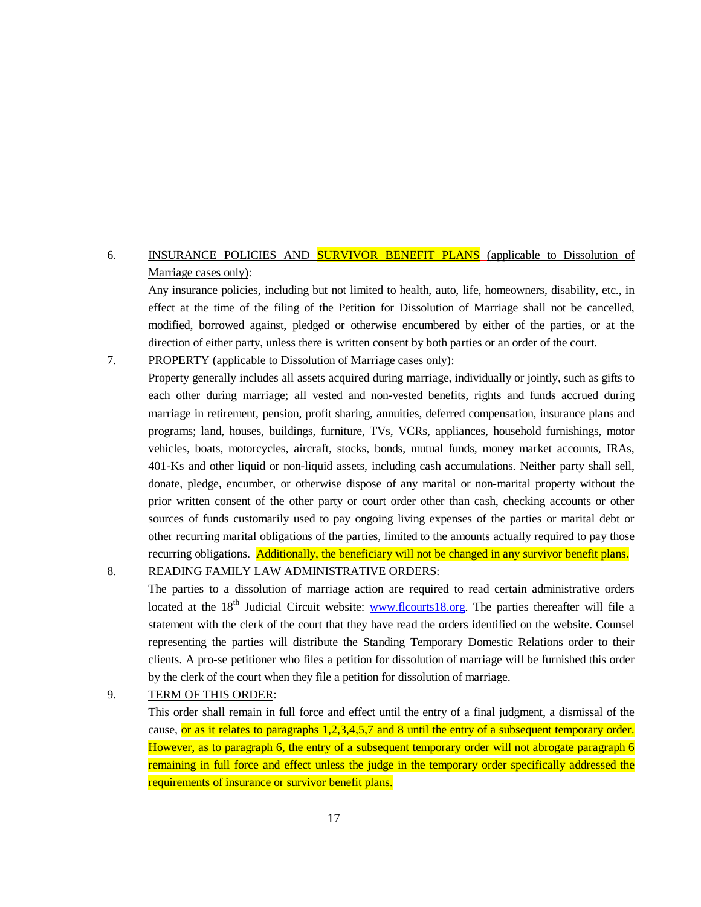# 6. INSURANCE POLICIES AND SURVIVOR BENEFIT PLANS (applicable to Dissolution of Marriage cases only):

Any insurance policies, including but not limited to health, auto, life, homeowners, disability, etc., in effect at the time of the filing of the Petition for Dissolution of Marriage shall not be cancelled, modified, borrowed against, pledged or otherwise encumbered by either of the parties, or at the direction of either party, unless there is written consent by both parties or an order of the court.

7. PROPERTY (applicable to Dissolution of Marriage cases only):

Property generally includes all assets acquired during marriage, individually or jointly, such as gifts to each other during marriage; all vested and non-vested benefits, rights and funds accrued during marriage in retirement, pension, profit sharing, annuities, deferred compensation, insurance plans and programs; land, houses, buildings, furniture, TVs, VCRs, appliances, household furnishings, motor vehicles, boats, motorcycles, aircraft, stocks, bonds, mutual funds, money market accounts, IRAs, 401-Ks and other liquid or non-liquid assets, including cash accumulations. Neither party shall sell, donate, pledge, encumber, or otherwise dispose of any marital or non-marital property without the prior written consent of the other party or court order other than cash, checking accounts or other sources of funds customarily used to pay ongoing living expenses of the parties or marital debt or other recurring marital obligations of the parties, limited to the amounts actually required to pay those recurring obligations. Additionally, the beneficiary will not be changed in any survivor benefit plans.

8. READING FAMILY LAW ADMINISTRATIVE ORDERS:

The parties to a dissolution of marriage action are required to read certain administrative orders located at the 18<sup>th</sup> Judicial Circuit website: [www.flcourts18.org.](http://www.flcourts18.org/) The parties thereafter will file a statement with the clerk of the court that they have read the orders identified on the website. Counsel representing the parties will distribute the Standing Temporary Domestic Relations order to their clients. A pro-se petitioner who files a petition for dissolution of marriage will be furnished this order by the clerk of the court when they file a petition for dissolution of marriage.

9. TERM OF THIS ORDER:

This order shall remain in full force and effect until the entry of a final judgment, a dismissal of the cause, or as it relates to paragraphs 1,2,3,4,5,7 and 8 until the entry of a subsequent temporary order. However, as to paragraph 6, the entry of a subsequent temporary order will not abrogate paragraph 6 remaining in full force and effect unless the judge in the temporary order specifically addressed the requirements of insurance or survivor benefit plans.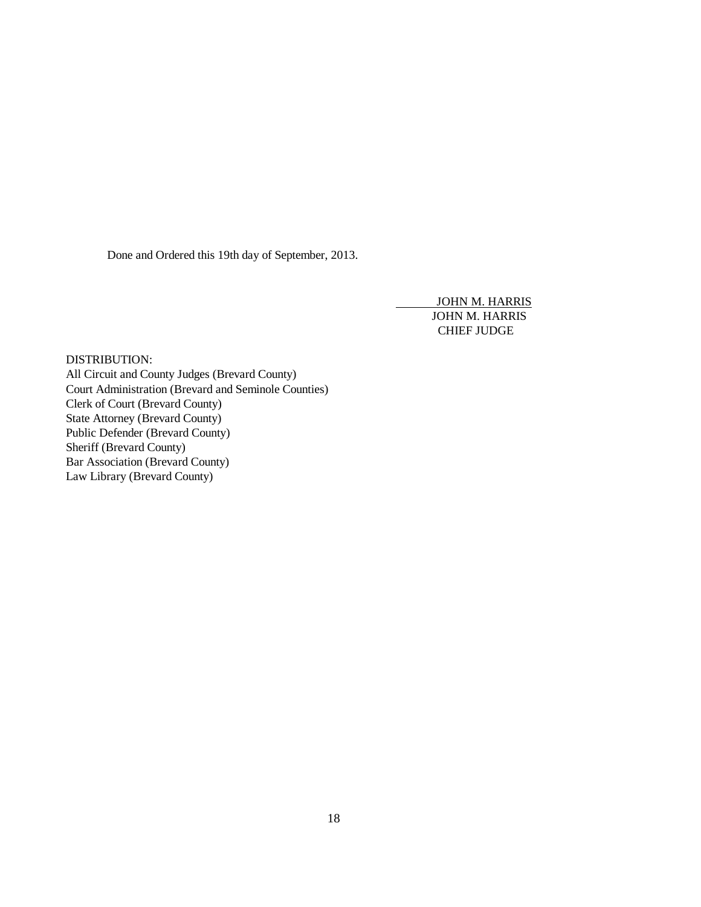Done and Ordered this 19th day of September, 2013.

JOHN M. HARRIS JOHN M. HARRIS CHIEF JUDGE

DISTRIBUTION: All Circuit and County Judges (Brevard County) Court Administration (Brevard and Seminole Counties) Clerk of Court (Brevard County) State Attorney (Brevard County) Public Defender (Brevard County) Sheriff (Brevard County) Bar Association (Brevard County) Law Library (Brevard County)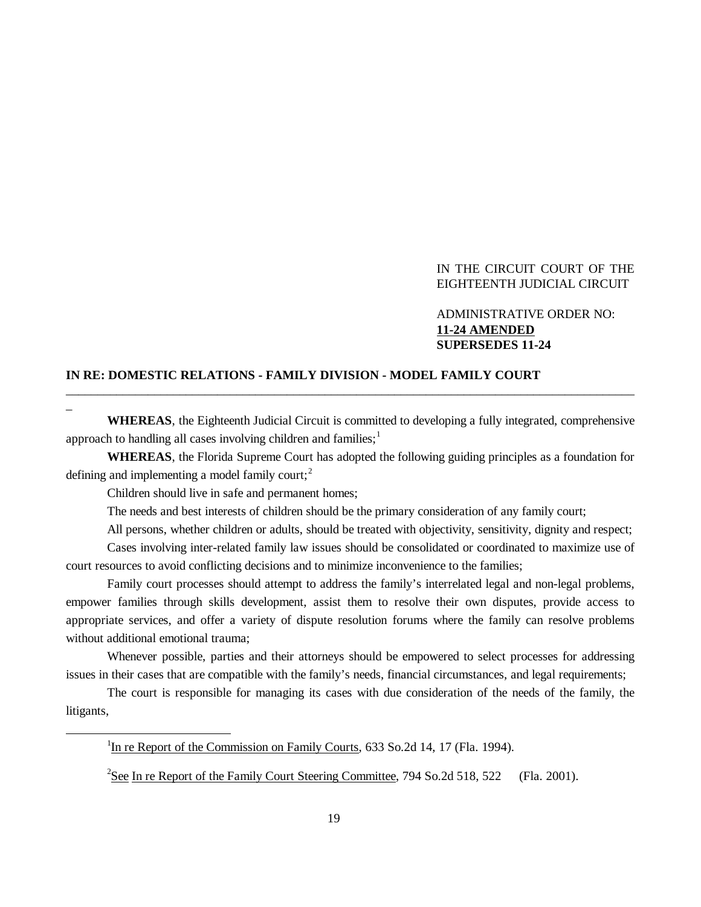# IN THE CIRCUIT COURT OF THE EIGHTEENTH JUDICIAL CIRCUIT

### ADMINISTRATIVE ORDER NO: **11-24 AMENDED SUPERSEDES 11-24**

#### **IN RE: DOMESTIC RELATIONS - FAMILY DIVISION - MODEL FAMILY COURT**

**WHEREAS**, the Eighteenth Judicial Circuit is committed to developing a fully integrated, comprehensive approach to handling all cases involving children and families; $<sup>1</sup>$  $<sup>1</sup>$  $<sup>1</sup>$ </sup>

\_\_\_\_\_\_\_\_\_\_\_\_\_\_\_\_\_\_\_\_\_\_\_\_\_\_\_\_\_\_\_\_\_\_\_\_\_\_\_\_\_\_\_\_\_\_\_\_\_\_\_\_\_\_\_\_\_\_\_\_\_\_\_\_\_\_\_\_\_\_\_\_\_\_\_\_\_\_\_\_\_\_\_\_\_\_\_\_\_\_

**WHEREAS**, the Florida Supreme Court has adopted the following guiding principles as a foundation for defining and implementing a model family court; $<sup>2</sup>$  $<sup>2</sup>$  $<sup>2</sup>$ </sup>

Children should live in safe and permanent homes;

\_

<span id="page-18-1"></span><span id="page-18-0"></span>-

The needs and best interests of children should be the primary consideration of any family court;

All persons, whether children or adults, should be treated with objectivity, sensitivity, dignity and respect;

Cases involving inter-related family law issues should be consolidated or coordinated to maximize use of court resources to avoid conflicting decisions and to minimize inconvenience to the families;

Family court processes should attempt to address the family's interrelated legal and non-legal problems, empower families through skills development, assist them to resolve their own disputes, provide access to appropriate services, and offer a variety of dispute resolution forums where the family can resolve problems without additional emotional trauma;

Whenever possible, parties and their attorneys should be empowered to select processes for addressing issues in their cases that are compatible with the family's needs, financial circumstances, and legal requirements;

The court is responsible for managing its cases with due consideration of the needs of the family, the litigants,

<sup>1</sup>In re Report of the Commission on Family Courts, 633 So.2d 14, 17 (Fla. 1994).

<sup>2</sup>See In re Report of the Family Court Steering Committee, 794 So.2d 518, 522 (Fla. 2001).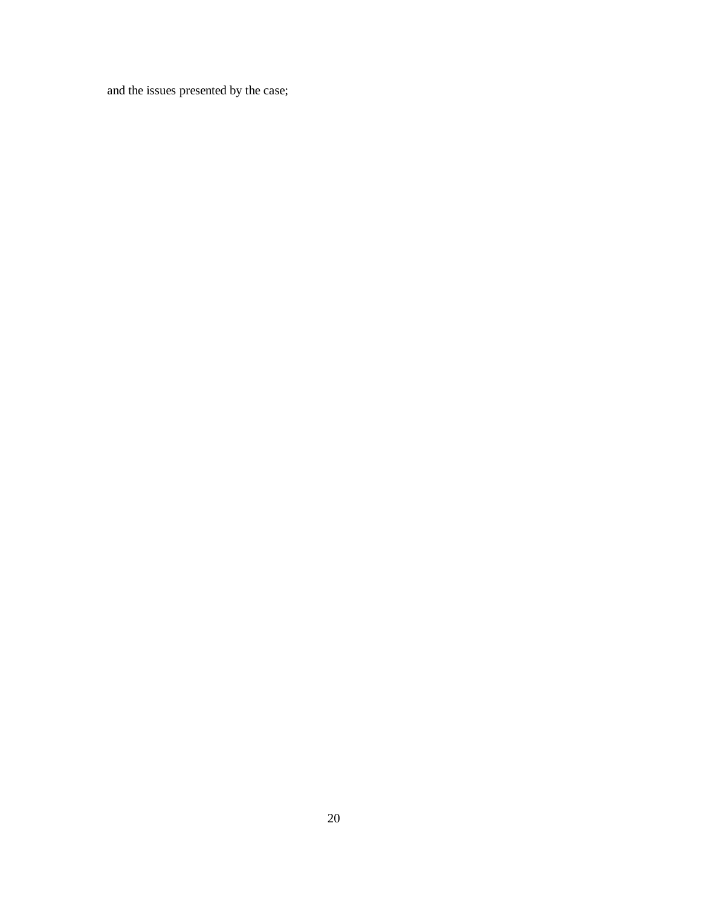and the issues presented by the case;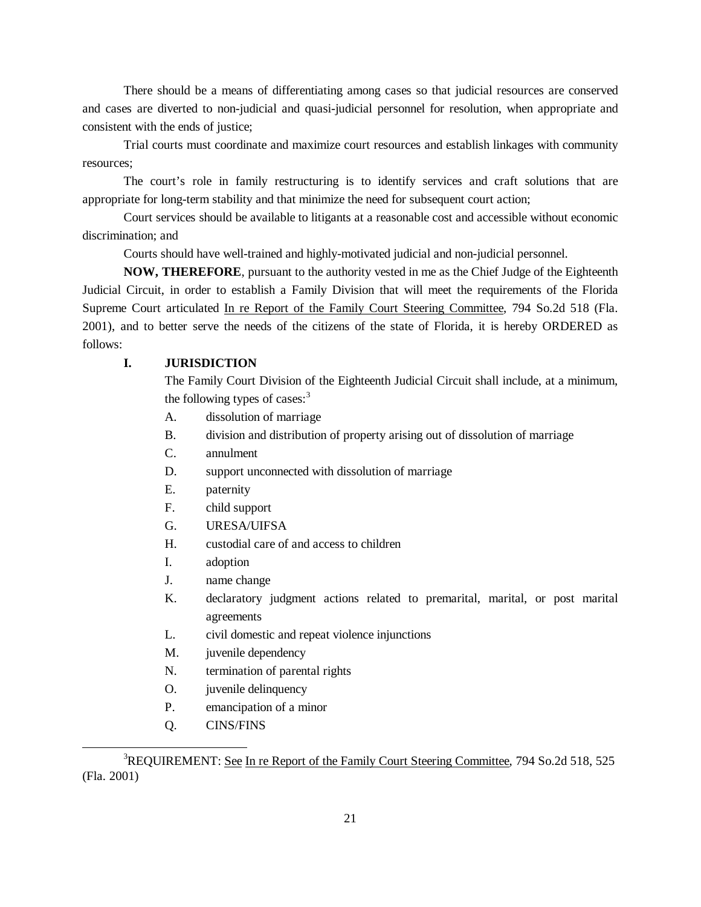There should be a means of differentiating among cases so that judicial resources are conserved and cases are diverted to non-judicial and quasi-judicial personnel for resolution, when appropriate and consistent with the ends of justice;

Trial courts must coordinate and maximize court resources and establish linkages with community resources;

The court's role in family restructuring is to identify services and craft solutions that are appropriate for long-term stability and that minimize the need for subsequent court action;

Court services should be available to litigants at a reasonable cost and accessible without economic discrimination; and

Courts should have well-trained and highly-motivated judicial and non-judicial personnel.

**NOW, THEREFORE**, pursuant to the authority vested in me as the Chief Judge of the Eighteenth Judicial Circuit, in order to establish a Family Division that will meet the requirements of the Florida Supreme Court articulated In re Report of the Family Court Steering Committee, 794 So.2d 518 (Fla. 2001), and to better serve the needs of the citizens of the state of Florida, it is hereby ORDERED as follows:

#### **I. JURISDICTION**

The Family Court Division of the Eighteenth Judicial Circuit shall include, at a minimum, the following types of cases: $3$ 

- A. dissolution of marriage
- B. division and distribution of property arising out of dissolution of marriage
- C. annulment
- D. support unconnected with dissolution of marriage
- E. paternity
- F. child support
- G. URESA/UIFSA
- H. custodial care of and access to children
- I. adoption
- J. name change
- K. declaratory judgment actions related to premarital, marital, or post marital agreements
- L. civil domestic and repeat violence injunctions
- M. juvenile dependency
- N. termination of parental rights
- O. juvenile delinquency
- P. emancipation of a minor
- Q. CINS/FINS

 $\overline{a}$ 

<span id="page-20-0"></span><sup>&</sup>lt;sup>3</sup>REQUIREMENT: See In re Report of the Family Court Steering Committee, 794 So.2d 518, 525 (Fla. 2001)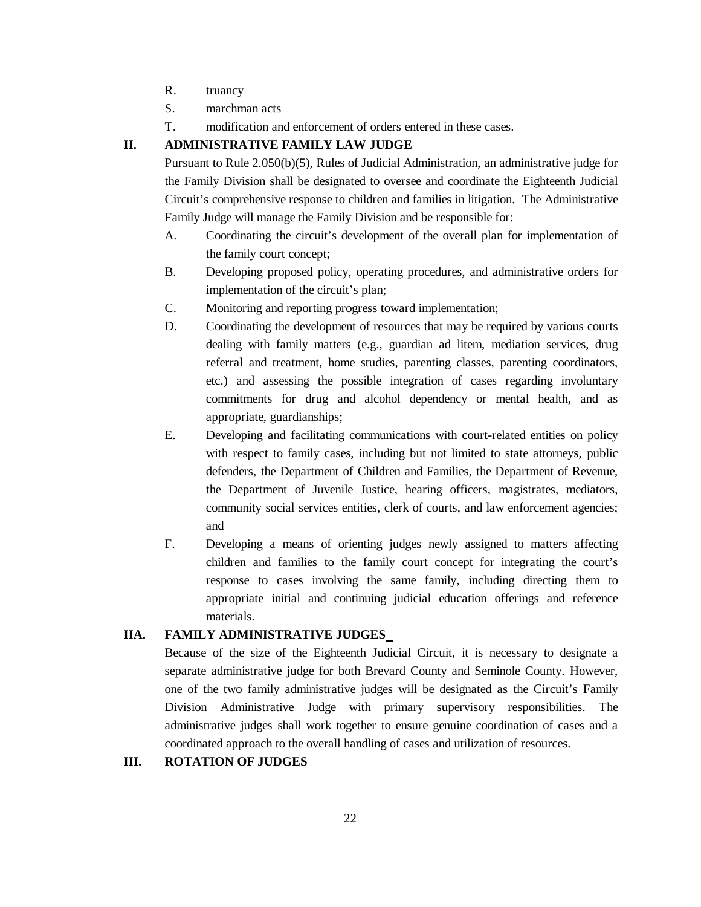- R. truancy
- S. marchman acts
- T. modification and enforcement of orders entered in these cases.

# **II. ADMINISTRATIVE FAMILY LAW JUDGE**

Pursuant to Rule 2.050(b)(5), Rules of Judicial Administration, an administrative judge for the Family Division shall be designated to oversee and coordinate the Eighteenth Judicial Circuit's comprehensive response to children and families in litigation. The Administrative Family Judge will manage the Family Division and be responsible for:

- A. Coordinating the circuit's development of the overall plan for implementation of the family court concept;
- B. Developing proposed policy, operating procedures, and administrative orders for implementation of the circuit's plan;
- C. Monitoring and reporting progress toward implementation;
- D. Coordinating the development of resources that may be required by various courts dealing with family matters (e.g., guardian ad litem, mediation services, drug referral and treatment, home studies, parenting classes, parenting coordinators, etc.) and assessing the possible integration of cases regarding involuntary commitments for drug and alcohol dependency or mental health, and as appropriate, guardianships;
- E. Developing and facilitating communications with court-related entities on policy with respect to family cases, including but not limited to state attorneys, public defenders, the Department of Children and Families, the Department of Revenue, the Department of Juvenile Justice, hearing officers, magistrates, mediators, community social services entities, clerk of courts, and law enforcement agencies; and
- F. Developing a means of orienting judges newly assigned to matters affecting children and families to the family court concept for integrating the court's response to cases involving the same family, including directing them to appropriate initial and continuing judicial education offerings and reference materials.

## **IIA. FAMILY ADMINISTRATIVE JUDGES**

Because of the size of the Eighteenth Judicial Circuit, it is necessary to designate a separate administrative judge for both Brevard County and Seminole County. However, one of the two family administrative judges will be designated as the Circuit's Family Division Administrative Judge with primary supervisory responsibilities. The administrative judges shall work together to ensure genuine coordination of cases and a coordinated approach to the overall handling of cases and utilization of resources.

## **III. ROTATION OF JUDGES**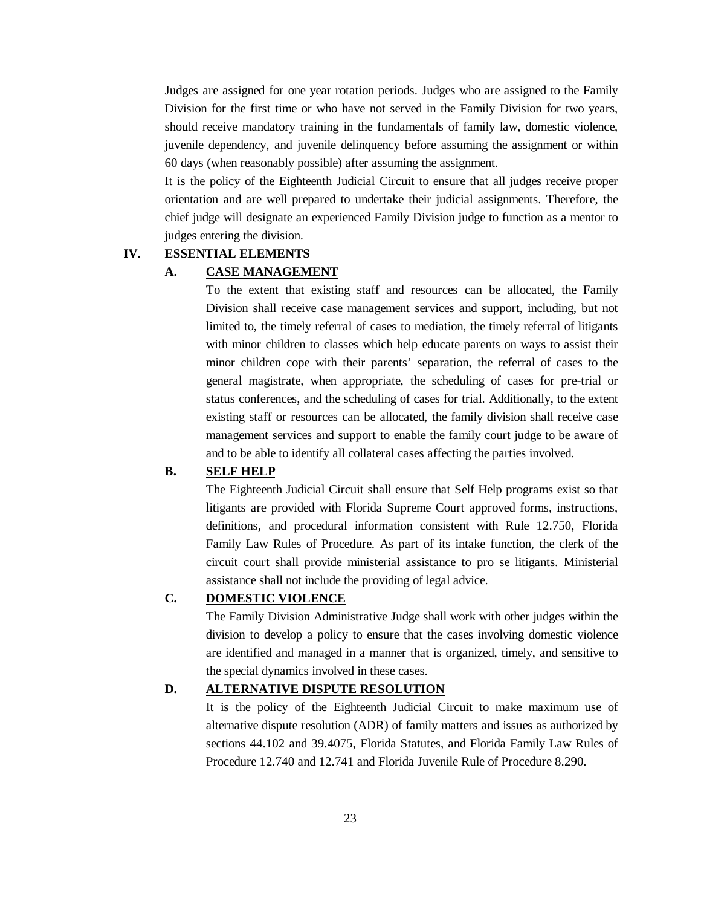Judges are assigned for one year rotation periods. Judges who are assigned to the Family Division for the first time or who have not served in the Family Division for two years, should receive mandatory training in the fundamentals of family law, domestic violence, juvenile dependency, and juvenile delinquency before assuming the assignment or within 60 days (when reasonably possible) after assuming the assignment.

It is the policy of the Eighteenth Judicial Circuit to ensure that all judges receive proper orientation and are well prepared to undertake their judicial assignments. Therefore, the chief judge will designate an experienced Family Division judge to function as a mentor to judges entering the division.

### **IV. ESSENTIAL ELEMENTS**

#### **A. CASE MANAGEMENT**

To the extent that existing staff and resources can be allocated, the Family Division shall receive case management services and support, including, but not limited to, the timely referral of cases to mediation, the timely referral of litigants with minor children to classes which help educate parents on ways to assist their minor children cope with their parents' separation, the referral of cases to the general magistrate, when appropriate, the scheduling of cases for pre-trial or status conferences, and the scheduling of cases for trial. Additionally, to the extent existing staff or resources can be allocated, the family division shall receive case management services and support to enable the family court judge to be aware of and to be able to identify all collateral cases affecting the parties involved.

# **B. SELF HELP**

The Eighteenth Judicial Circuit shall ensure that Self Help programs exist so that litigants are provided with Florida Supreme Court approved forms, instructions, definitions, and procedural information consistent with Rule 12.750, Florida Family Law Rules of Procedure. As part of its intake function, the clerk of the circuit court shall provide ministerial assistance to pro se litigants. Ministerial assistance shall not include the providing of legal advice.

# **C. DOMESTIC VIOLENCE**

The Family Division Administrative Judge shall work with other judges within the division to develop a policy to ensure that the cases involving domestic violence are identified and managed in a manner that is organized, timely, and sensitive to the special dynamics involved in these cases.

# **D. ALTERNATIVE DISPUTE RESOLUTION**

It is the policy of the Eighteenth Judicial Circuit to make maximum use of alternative dispute resolution (ADR) of family matters and issues as authorized by sections 44.102 and 39.4075, Florida Statutes, and Florida Family Law Rules of Procedure 12.740 and 12.741 and Florida Juvenile Rule of Procedure 8.290.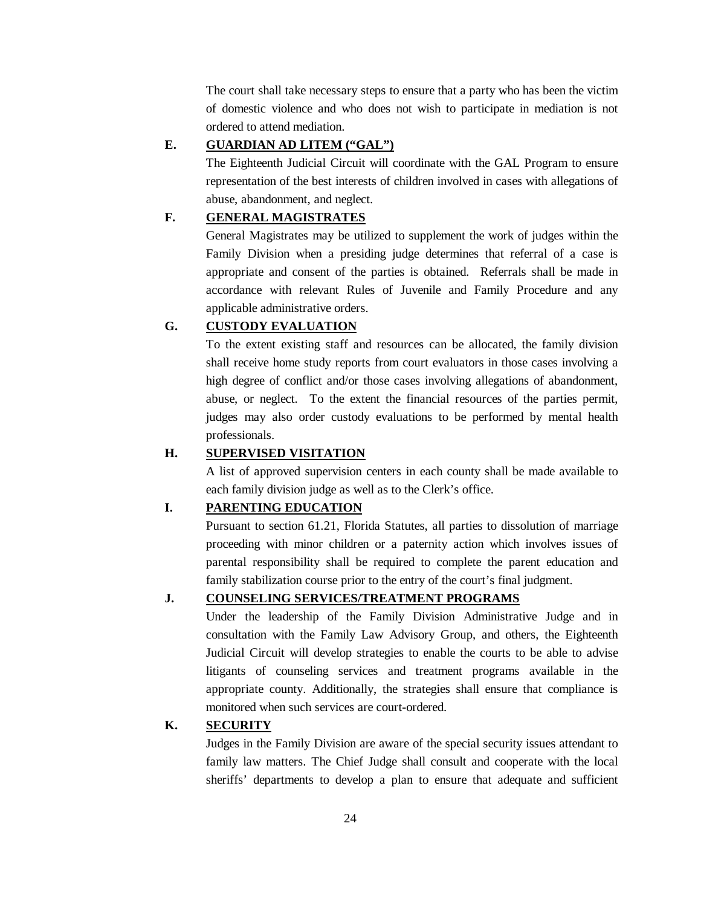The court shall take necessary steps to ensure that a party who has been the victim of domestic violence and who does not wish to participate in mediation is not ordered to attend mediation.

# **E. GUARDIAN AD LITEM ("GAL")**

The Eighteenth Judicial Circuit will coordinate with the GAL Program to ensure representation of the best interests of children involved in cases with allegations of abuse, abandonment, and neglect.

# **F. GENERAL MAGISTRATES**

General Magistrates may be utilized to supplement the work of judges within the Family Division when a presiding judge determines that referral of a case is appropriate and consent of the parties is obtained. Referrals shall be made in accordance with relevant Rules of Juvenile and Family Procedure and any applicable administrative orders.

# **G. CUSTODY EVALUATION**

To the extent existing staff and resources can be allocated, the family division shall receive home study reports from court evaluators in those cases involving a high degree of conflict and/or those cases involving allegations of abandonment, abuse, or neglect. To the extent the financial resources of the parties permit, judges may also order custody evaluations to be performed by mental health professionals.

## **H. SUPERVISED VISITATION**

A list of approved supervision centers in each county shall be made available to each family division judge as well as to the Clerk's office.

# **I. PARENTING EDUCATION**

Pursuant to section 61.21, Florida Statutes, all parties to dissolution of marriage proceeding with minor children or a paternity action which involves issues of parental responsibility shall be required to complete the parent education and family stabilization course prior to the entry of the court's final judgment.

# **J. COUNSELING SERVICES/TREATMENT PROGRAMS**

Under the leadership of the Family Division Administrative Judge and in consultation with the Family Law Advisory Group, and others, the Eighteenth Judicial Circuit will develop strategies to enable the courts to be able to advise litigants of counseling services and treatment programs available in the appropriate county. Additionally, the strategies shall ensure that compliance is monitored when such services are court-ordered.

# **K. SECURITY**

Judges in the Family Division are aware of the special security issues attendant to family law matters. The Chief Judge shall consult and cooperate with the local sheriffs' departments to develop a plan to ensure that adequate and sufficient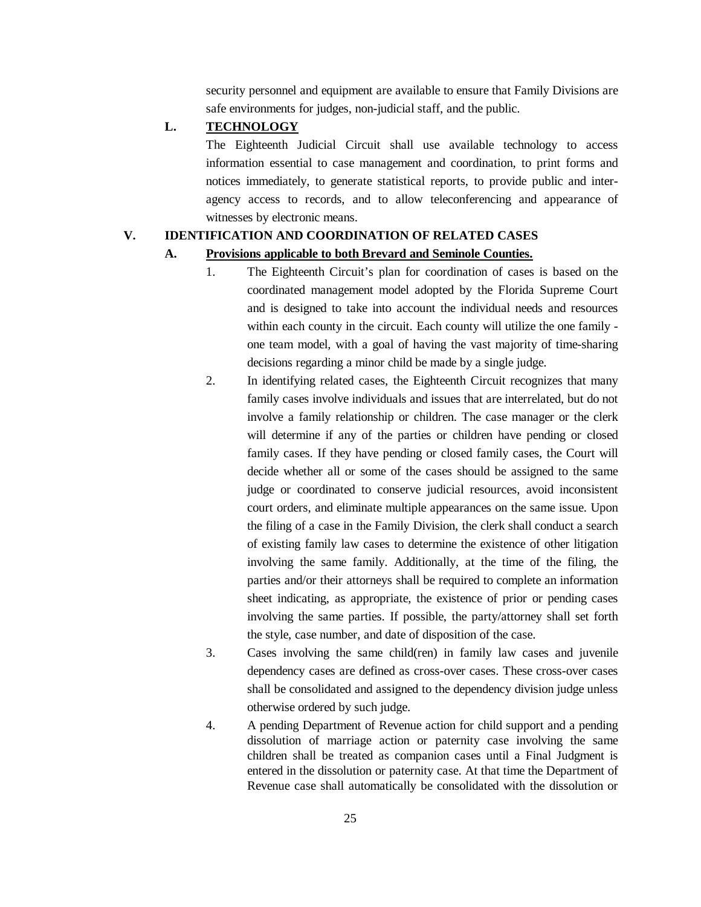security personnel and equipment are available to ensure that Family Divisions are safe environments for judges, non-judicial staff, and the public.

## **L. TECHNOLOGY**

The Eighteenth Judicial Circuit shall use available technology to access information essential to case management and coordination, to print forms and notices immediately, to generate statistical reports, to provide public and interagency access to records, and to allow teleconferencing and appearance of witnesses by electronic means.

# **V. IDENTIFICATION AND COORDINATION OF RELATED CASES**

# **A. Provisions applicable to both Brevard and Seminole Counties.**

- 1. The Eighteenth Circuit's plan for coordination of cases is based on the coordinated management model adopted by the Florida Supreme Court and is designed to take into account the individual needs and resources within each county in the circuit. Each county will utilize the one family one team model, with a goal of having the vast majority of time-sharing decisions regarding a minor child be made by a single judge.
- 2. In identifying related cases, the Eighteenth Circuit recognizes that many family cases involve individuals and issues that are interrelated, but do not involve a family relationship or children. The case manager or the clerk will determine if any of the parties or children have pending or closed family cases. If they have pending or closed family cases, the Court will decide whether all or some of the cases should be assigned to the same judge or coordinated to conserve judicial resources, avoid inconsistent court orders, and eliminate multiple appearances on the same issue. Upon the filing of a case in the Family Division, the clerk shall conduct a search of existing family law cases to determine the existence of other litigation involving the same family. Additionally, at the time of the filing, the parties and/or their attorneys shall be required to complete an information sheet indicating, as appropriate, the existence of prior or pending cases involving the same parties. If possible, the party/attorney shall set forth the style, case number, and date of disposition of the case.
- 3. Cases involving the same child(ren) in family law cases and juvenile dependency cases are defined as cross-over cases. These cross-over cases shall be consolidated and assigned to the dependency division judge unless otherwise ordered by such judge.
- 4. A pending Department of Revenue action for child support and a pending dissolution of marriage action or paternity case involving the same children shall be treated as companion cases until a Final Judgment is entered in the dissolution or paternity case. At that time the Department of Revenue case shall automatically be consolidated with the dissolution or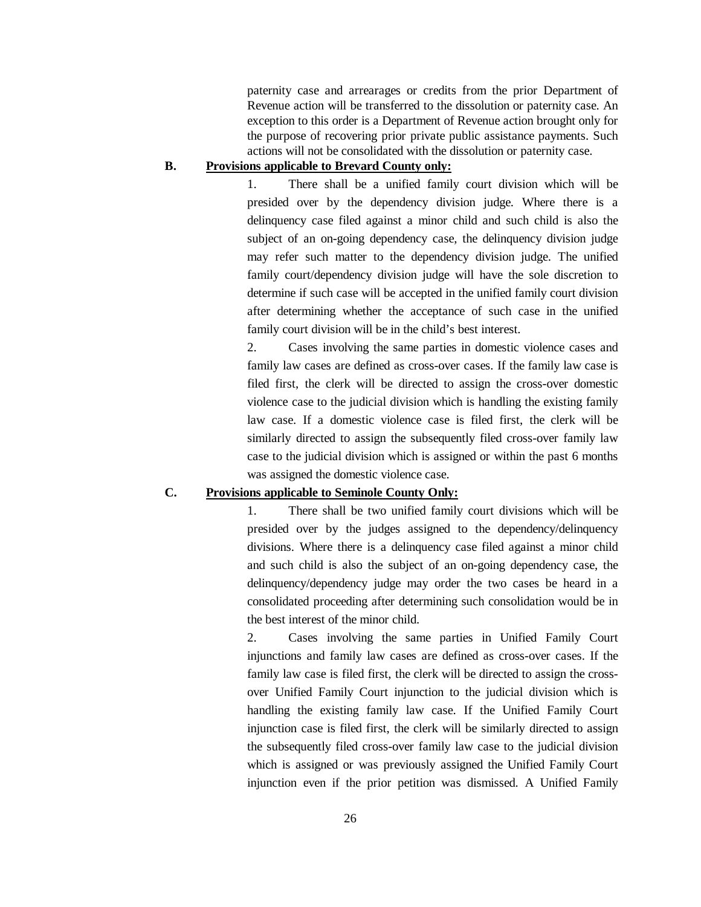paternity case and arrearages or credits from the prior Department of Revenue action will be transferred to the dissolution or paternity case. An exception to this order is a Department of Revenue action brought only for the purpose of recovering prior private public assistance payments. Such actions will not be consolidated with the dissolution or paternity case.

### **B. Provisions applicable to Brevard County only:**

1. There shall be a unified family court division which will be presided over by the dependency division judge. Where there is a delinquency case filed against a minor child and such child is also the subject of an on-going dependency case, the delinquency division judge may refer such matter to the dependency division judge. The unified family court/dependency division judge will have the sole discretion to determine if such case will be accepted in the unified family court division after determining whether the acceptance of such case in the unified family court division will be in the child's best interest.

2. Cases involving the same parties in domestic violence cases and family law cases are defined as cross-over cases. If the family law case is filed first, the clerk will be directed to assign the cross-over domestic violence case to the judicial division which is handling the existing family law case. If a domestic violence case is filed first, the clerk will be similarly directed to assign the subsequently filed cross-over family law case to the judicial division which is assigned or within the past 6 months was assigned the domestic violence case.

## **C. Provisions applicable to Seminole County Only:**

1. There shall be two unified family court divisions which will be presided over by the judges assigned to the dependency/delinquency divisions. Where there is a delinquency case filed against a minor child and such child is also the subject of an on-going dependency case, the delinquency/dependency judge may order the two cases be heard in a consolidated proceeding after determining such consolidation would be in the best interest of the minor child.

2. Cases involving the same parties in Unified Family Court injunctions and family law cases are defined as cross-over cases. If the family law case is filed first, the clerk will be directed to assign the crossover Unified Family Court injunction to the judicial division which is handling the existing family law case. If the Unified Family Court injunction case is filed first, the clerk will be similarly directed to assign the subsequently filed cross-over family law case to the judicial division which is assigned or was previously assigned the Unified Family Court injunction even if the prior petition was dismissed. A Unified Family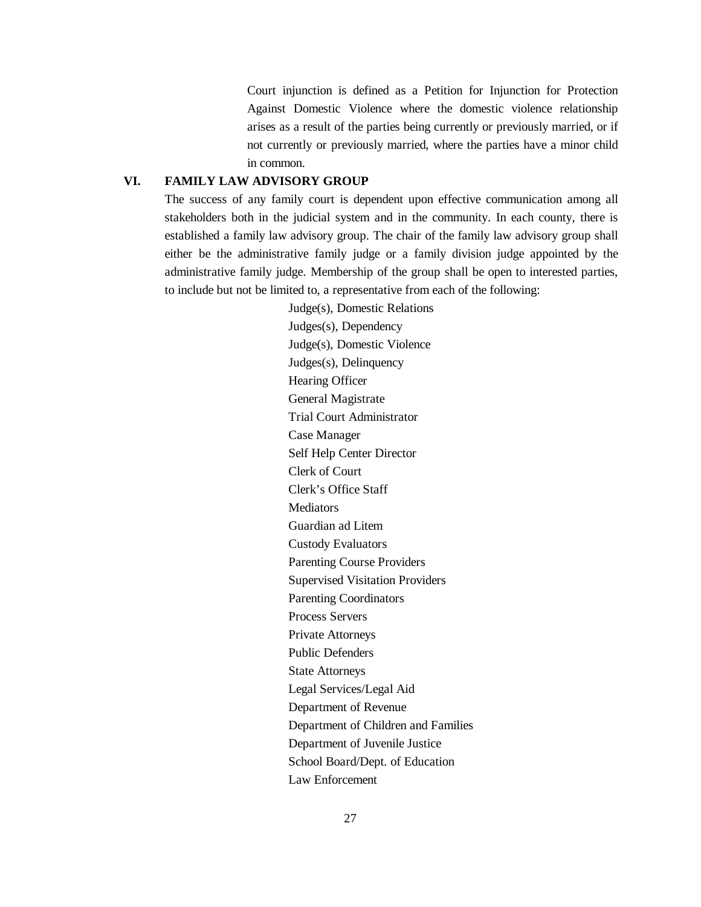Court injunction is defined as a Petition for Injunction for Protection Against Domestic Violence where the domestic violence relationship arises as a result of the parties being currently or previously married, or if not currently or previously married, where the parties have a minor child in common.

#### **VI. FAMILY LAW ADVISORY GROUP**

The success of any family court is dependent upon effective communication among all stakeholders both in the judicial system and in the community. In each county, there is established a family law advisory group. The chair of the family law advisory group shall either be the administrative family judge or a family division judge appointed by the administrative family judge. Membership of the group shall be open to interested parties, to include but not be limited to, a representative from each of the following:

> Judge(s), Domestic Relations Judges(s), Dependency Judge(s), Domestic Violence Judges(s), Delinquency Hearing Officer General Magistrate Trial Court Administrator Case Manager Self Help Center Director Clerk of Court Clerk's Office Staff **Mediators** Guardian ad Litem Custody Evaluators Parenting Course Providers Supervised Visitation Providers Parenting Coordinators Process Servers Private Attorneys Public Defenders State Attorneys Legal Services/Legal Aid Department of Revenue Department of Children and Families Department of Juvenile Justice School Board/Dept. of Education Law Enforcement